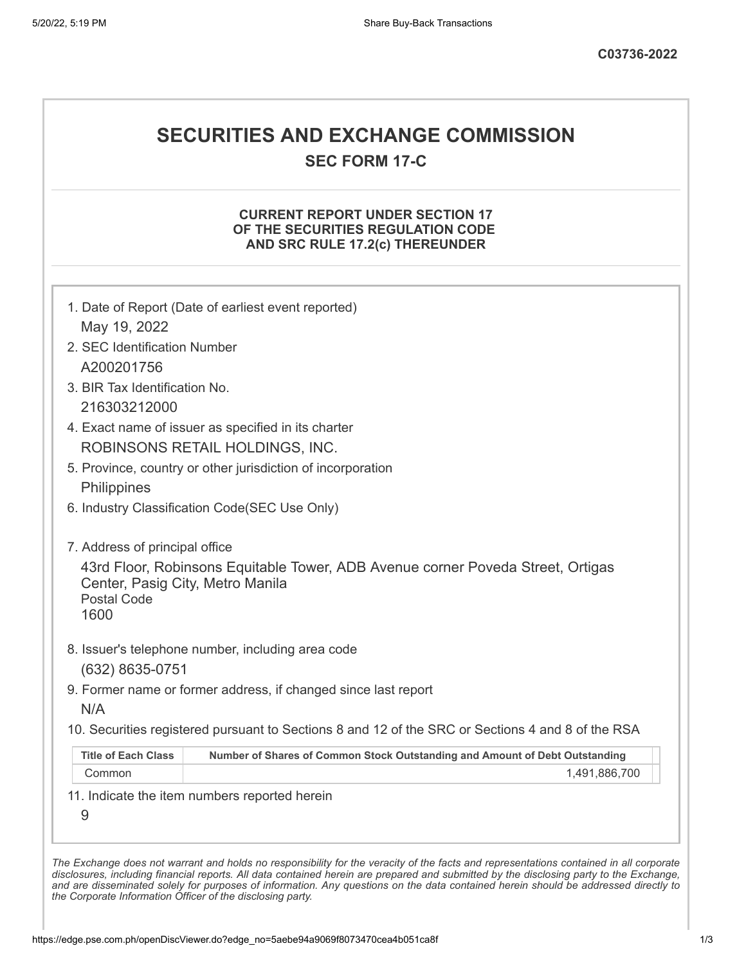## **SECURITIES AND EXCHANGE COMMISSION**

**SEC FORM 17-C**

## **CURRENT REPORT UNDER SECTION 17 OF THE SECURITIES REGULATION CODE AND SRC RULE 17.2(c) THEREUNDER**

| 2. SEC Identification Number                                   |                                                                                                   |
|----------------------------------------------------------------|---------------------------------------------------------------------------------------------------|
| A200201756                                                     |                                                                                                   |
| 3. BIR Tax Identification No.                                  |                                                                                                   |
| 216303212000                                                   |                                                                                                   |
|                                                                | 4. Exact name of issuer as specified in its charter                                               |
|                                                                | ROBINSONS RETAIL HOLDINGS, INC.                                                                   |
|                                                                | 5. Province, country or other jurisdiction of incorporation                                       |
| Philippines                                                    |                                                                                                   |
|                                                                | 6. Industry Classification Code(SEC Use Only)                                                     |
| 7. Address of principal office                                 |                                                                                                   |
| Center, Pasig City, Metro Manila<br><b>Postal Code</b><br>1600 | 43rd Floor, Robinsons Equitable Tower, ADB Avenue corner Poveda Street, Ortigas                   |
|                                                                | 8. Issuer's telephone number, including area code                                                 |
| (632) 8635-0751                                                |                                                                                                   |
|                                                                | 9. Former name or former address, if changed since last report                                    |
| N/A                                                            |                                                                                                   |
|                                                                | 10. Securities registered pursuant to Sections 8 and 12 of the SRC or Sections 4 and 8 of the RSA |
| <b>Title of Each Class</b>                                     | Number of Shares of Common Stock Outstanding and Amount of Debt Outstanding                       |
| Common                                                         | 1,491,886,700                                                                                     |

*the Corporate Information Officer of the disclosing party.*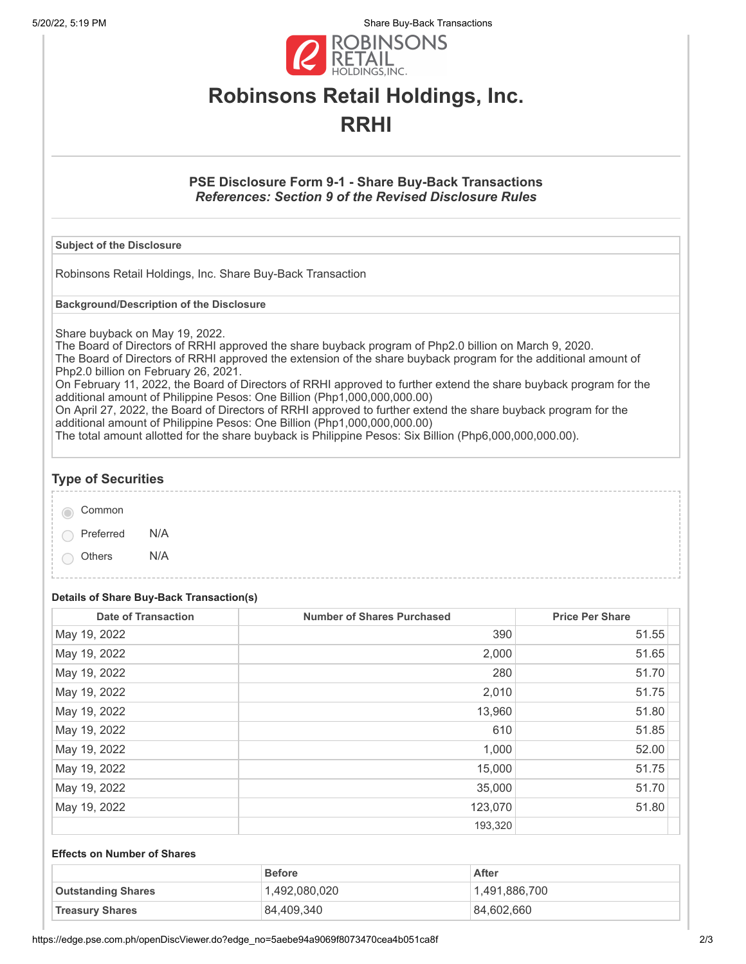5/20/22, 5:19 PM Share Buy-Back Transactions



# **Robinsons Retail Holdings, Inc. RRHI**

## **PSE Disclosure Form 9-1 - Share Buy-Back Transactions** *References: Section 9 of the Revised Disclosure Rules*

### **Subject of the Disclosure**

Robinsons Retail Holdings, Inc. Share Buy-Back Transaction

**Background/Description of the Disclosure**

Share buyback on May 19, 2022.

The Board of Directors of RRHI approved the share buyback program of Php2.0 billion on March 9, 2020. The Board of Directors of RRHI approved the extension of the share buyback program for the additional amount of Php2.0 billion on February 26, 2021.

On February 11, 2022, the Board of Directors of RRHI approved to further extend the share buyback program for the additional amount of Philippine Pesos: One Billion (Php1,000,000,000.00)

On April 27, 2022, the Board of Directors of RRHI approved to further extend the share buyback program for the additional amount of Philippine Pesos: One Billion (Php1,000,000,000.00)

The total amount allotted for the share buyback is Philippine Pesos: Six Billion (Php6,000,000,000.00).

## **Type of Securities**

| Common |
|--------|
|        |

Preferred N/A

Others N/A

## **Details of Share Buy-Back Transaction(s)**

| <b>Date of Transaction</b> | <b>Number of Shares Purchased</b> | <b>Price Per Share</b> |
|----------------------------|-----------------------------------|------------------------|
| May 19, 2022               | 390                               | 51.55                  |
| May 19, 2022               | 2,000                             | 51.65                  |
| May 19, 2022               | 280                               | 51.70                  |
| May 19, 2022               | 2,010                             | 51.75                  |
| May 19, 2022               | 13,960                            | 51.80                  |
| May 19, 2022               | 610                               | 51.85                  |
| May 19, 2022               | 1,000                             | 52.00                  |
| May 19, 2022               | 15,000                            | 51.75                  |
| May 19, 2022               | 35,000                            | 51.70                  |
| May 19, 2022               | 123,070                           | 51.80                  |
|                            | 193,320                           |                        |

#### **Effects on Number of Shares**

|                           | <b>Before</b> | After         |
|---------------------------|---------------|---------------|
| <b>Outstanding Shares</b> | 1,492,080,020 | 1,491,886,700 |
| <b>Treasury Shares</b>    | 84,409,340    | 84,602,660    |